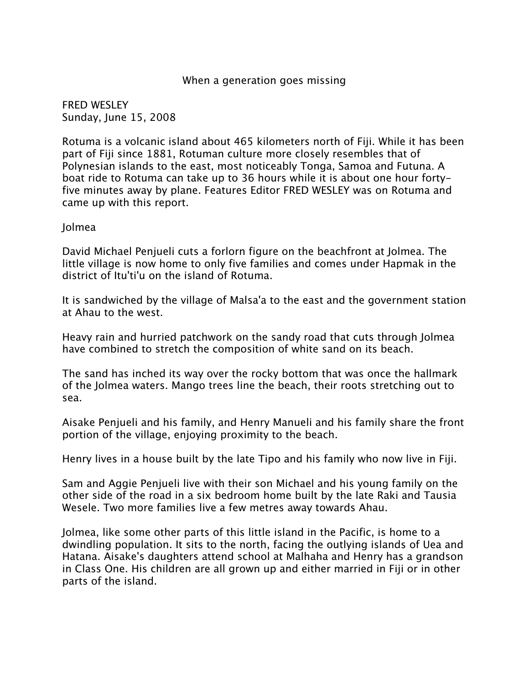## When a generation goes missing

FRED WESLEY Sunday, June 15, 2008

Rotuma is a volcanic island about 465 kilometers north of Fiji. While it has been part of Fiji since 1881, Rotuman culture more closely resembles that of Polynesian islands to the east, most noticeably Tonga, Samoa and Futuna. A boat ride to Rotuma can take up to 36 hours while it is about one hour fortyfive minutes away by plane. Features Editor FRED WESLEY was on Rotuma and came up with this report.

## Jolmea

David Michael Penjueli cuts a forlorn figure on the beachfront at Jolmea. The little village is now home to only five families and comes under Hapmak in the district of Itu'ti'u on the island of Rotuma.

It is sandwiched by the village of Malsa'a to the east and the government station at Ahau to the west.

Heavy rain and hurried patchwork on the sandy road that cuts through Jolmea have combined to stretch the composition of white sand on its beach.

The sand has inched its way over the rocky bottom that was once the hallmark of the Jolmea waters. Mango trees line the beach, their roots stretching out to sea.

Aisake Penjueli and his family, and Henry Manueli and his family share the front portion of the village, enjoying proximity to the beach.

Henry lives in a house built by the late Tipo and his family who now live in Fiji.

Sam and Aggie Penjueli live with their son Michael and his young family on the other side of the road in a six bedroom home built by the late Raki and Tausia Wesele. Two more families live a few metres away towards Ahau.

Jolmea, like some other parts of this little island in the Pacific, is home to a dwindling population. It sits to the north, facing the outlying islands of Uea and Hatana. Aisake's daughters attend school at Malhaha and Henry has a grandson in Class One. His children are all grown up and either married in Fiji or in other parts of the island.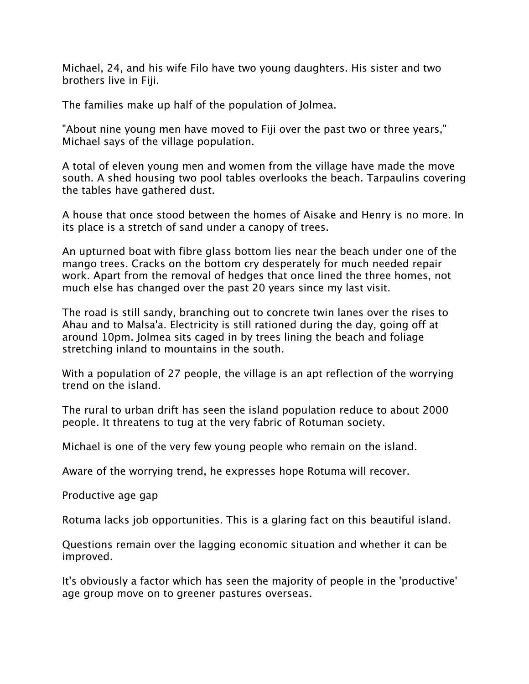Michael, 24, and his wife Filo have two young daughters. His sister and two brothers live in Fiji.

The families make up half of the population of Jolmea.

"About nine young men have moved to Fiji over the past two or three years," Michael says of the village population.

A total of eleven young men and women from the village have made the move south. A shed housing two pool tables overlooks the beach. Tarpaulins covering the tables have gathered dust.

A house that once stood between the homes of Aisake and Henry is no more. In its place is a stretch of sand under a canopy of trees.

An upturned boat with fibre glass bottom lies near the beach under one of the mango trees. Cracks on the bottom cry desperately for much needed repair work. Apart from the removal of hedges that once lined the three homes, not much else has changed over the past 20 years since my last visit.

The road is still sandy, branching out to concrete twin lanes over the rises to Ahau and to Malsa'a. Electricity is still rationed during the day, going off at around 10pm. Jolmea sits caged in by trees lining the beach and foliage stretching inland to mountains in the south.

With a population of 27 people, the village is an apt reflection of the worrying trend on the island.

The rural to urban drift has seen the island population reduce to about 2000 people. It threatens to tug at the very fabric of Rotuman society.

Michael is one of the very few young people who remain on the island.

Aware of the worrying trend, he expresses hope Rotuma will recover.

Productive age gap

Rotuma lacks job opportunities. This is a glaring fact on this beautiful island.

Questions remain over the lagging economic situation and whether it can be improved.

It's obviously a factor which has seen the majority of people in the 'productive' age group move on to greener pastures overseas.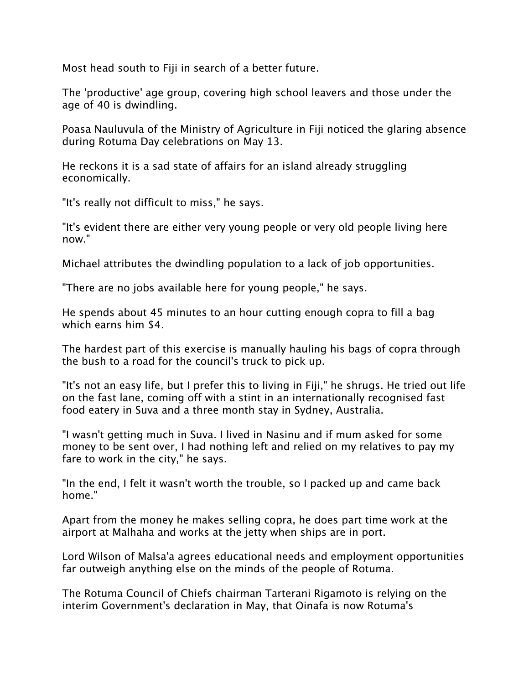Most head south to Fiji in search of a better future.

The 'productive' age group, covering high school leavers and those under the age of 40 is dwindling.

Poasa Nauluvula of the Ministry of Agriculture in Fiji noticed the glaring absence during Rotuma Day celebrations on May 13.

He reckons it is a sad state of affairs for an island already struggling economically.

"It's really not difficult to miss," he says.

"It's evident there are either very young people or very old people living here now."

Michael attributes the dwindling population to a lack of job opportunities.

"There are no jobs available here for young people," he says.

He spends about 45 minutes to an hour cutting enough copra to fill a bag which earns him \$4.

The hardest part of this exercise is manually hauling his bags of copra through the bush to a road for the council's truck to pick up.

"It's not an easy life, but I prefer this to living in Fiji," he shrugs. He tried out life on the fast lane, coming off with a stint in an internationally recognised fast food eatery in Suva and a three month stay in Sydney, Australia.

"I wasn't getting much in Suva. I lived in Nasinu and if mum asked for some money to be sent over, I had nothing left and relied on my relatives to pay my fare to work in the city," he says.

"In the end, I felt it wasn't worth the trouble, so I packed up and came back home."

Apart from the money he makes selling copra, he does part time work at the airport at Malhaha and works at the jetty when ships are in port.

Lord Wilson of Malsa'a agrees educational needs and employment opportunities far outweigh anything else on the minds of the people of Rotuma.

The Rotuma Council of Chiefs chairman Tarterani Rigamoto is relying on the interim Government's declaration in May, that Oinafa is now Rotuma's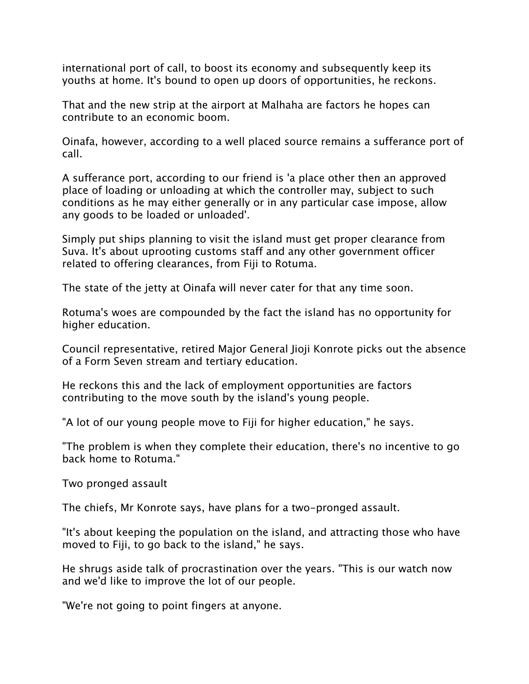international port of call, to boost its economy and subsequently keep its youths at home. It's bound to open up doors of opportunities, he reckons.

That and the new strip at the airport at Malhaha are factors he hopes can contribute to an economic boom.

Oinafa, however, according to a well placed source remains a sufferance port of call.

A sufferance port, according to our friend is 'a place other then an approved place of loading or unloading at which the controller may, subject to such conditions as he may either generally or in any particular case impose, allow any goods to be loaded or unloaded'.

Simply put ships planning to visit the island must get proper clearance from Suva. It's about uprooting customs staff and any other government officer related to offering clearances, from Fiji to Rotuma.

The state of the jetty at Oinafa will never cater for that any time soon.

Rotuma's woes are compounded by the fact the island has no opportunity for higher education.

Council representative, retired Major General Jioji Konrote picks out the absence of a Form Seven stream and tertiary education.

He reckons this and the lack of employment opportunities are factors contributing to the move south by the island's young people.

"A lot of our young people move to Fiji for higher education," he says.

"The problem is when they complete their education, there's no incentive to go back home to Rotuma."

Two pronged assault

The chiefs, Mr Konrote says, have plans for a two-pronged assault.

"It's about keeping the population on the island, and attracting those who have moved to Fiji, to go back to the island," he says.

He shrugs aside talk of procrastination over the years. "This is our watch now and we'd like to improve the lot of our people.

"We're not going to point fingers at anyone.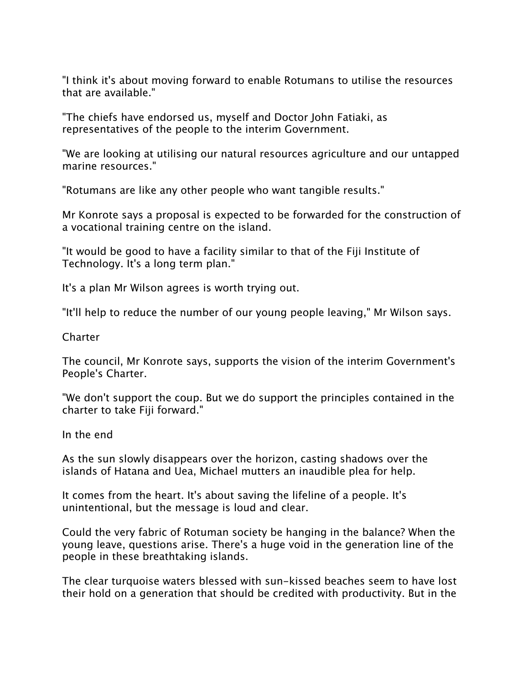"I think it's about moving forward to enable Rotumans to utilise the resources that are available."

"The chiefs have endorsed us, myself and Doctor John Fatiaki, as representatives of the people to the interim Government.

"We are looking at utilising our natural resources agriculture and our untapped marine resources."

"Rotumans are like any other people who want tangible results."

Mr Konrote says a proposal is expected to be forwarded for the construction of a vocational training centre on the island.

"It would be good to have a facility similar to that of the Fiji Institute of Technology. It's a long term plan."

It's a plan Mr Wilson agrees is worth trying out.

"It'll help to reduce the number of our young people leaving," Mr Wilson says.

Charter

The council, Mr Konrote says, supports the vision of the interim Government's People's Charter.

"We don't support the coup. But we do support the principles contained in the charter to take Fiji forward."

In the end

As the sun slowly disappears over the horizon, casting shadows over the islands of Hatana and Uea, Michael mutters an inaudible plea for help.

It comes from the heart. It's about saving the lifeline of a people. It's unintentional, but the message is loud and clear.

Could the very fabric of Rotuman society be hanging in the balance? When the young leave, questions arise. There's a huge void in the generation line of the people in these breathtaking islands.

The clear turquoise waters blessed with sun-kissed beaches seem to have lost their hold on a generation that should be credited with productivity. But in the